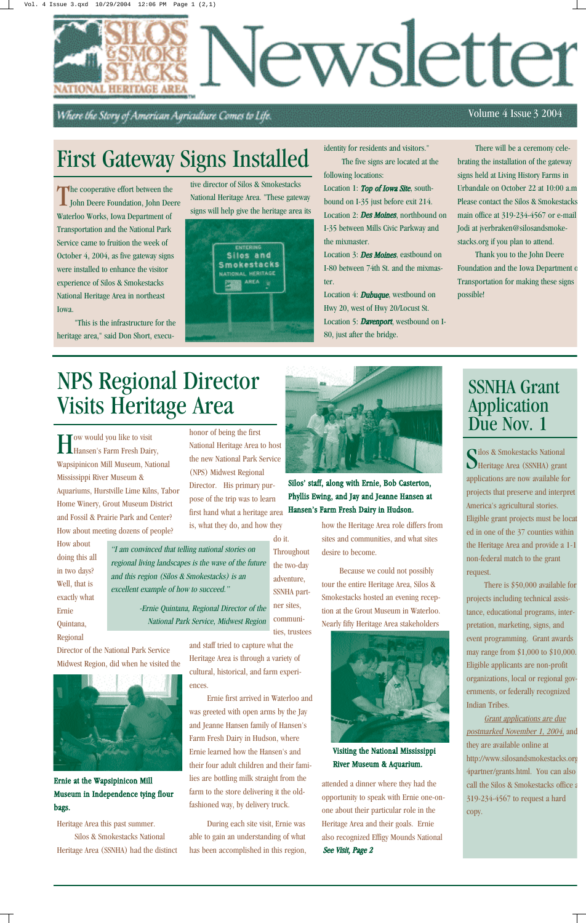The cooperative effort between the<br>John Deere Foundation, John Dee John Deere Foundation, John Deere Waterloo Works, Iowa Department of Transportation and the National Park Service came to fruition the week of October 4, 2004, as five gateway signs were installed to enhance the visitor experience of Silos & Smokestacks National Heritage Area in northeast Iowa.

"This is the infrastructure for the heritage area," said Don Short, execuLocation 3: Des Moines, eastbound on I-80 between 74th St. and the mixmaster.

tive director of Silos & Smokestacks National Heritage Area. "These gateway signs will help give the heritage area its



Location 4: **Dubuque**, westbound on Hwy 20, west of Hwy 20/Locust St. Location 5: Davenport, westbound on I-80, just after the bridge.

identity for residents and visitors." The five signs are located at the

following locations: Location 1: Top of Iowa Site, southbound on I-35 just before exit 214. Location 2: **Des Moines**, northbound on I-35 between Mills Civic Parkway and the mixmaster.

Director of the National Park Service Midwest Region, did when he visited the

There will be a ceremony celebrating the installation of the gateway signs held at Living History Farms in Urbandale on October 22 at 10:00 a.m Please contact the Silos & Smokestacks main office at 319-234-4567 or e-mail Jodi at jverbraken@silosandsmokestacks.org if you plan to attend.

**Throughout** the two-day adventure, SSNHA partner sites, communities, trustees

Thank you to the John Deere Foundation and the Iowa Department of Transportation for making these signs possible!

#### Volume 4 Issue 3 2004

How would you like to visit Hansen's Farm Fresh Dairy, Wapsipinicon Mill Museum, National Mississippi River Museum & Aquariums, Hurstville Lime Kilns, Tabor Home Winery, Grout Museum District and Fossil & Prairie Park and Center? How about meeting dozens of people?

How about doing this all in two days? Well, that is exactly what Ernie Quintana, Regional

Heritage Area this past summer. Silos & Smokestacks National Heritage Area (SSNHA) had the distinct honor of being the first National Heritage Area to host the new National Park Service (NPS) Midwest Regional Director. His primary purpose of the trip was to learn first hand what a heritage area is, what they do, and how they

Silos & Smokestacks National<br>Selection (SSNHA) gran Heritage Area (SSNHA) grant applications are now available for projects that preserve and interpret America's agricultural stories. Eligible grant projects must be locat ed in one of the 37 counties within the Heritage Area and provide a 1-1 non-federal match to the grant request.

do it.

and staff tried to capture what the Heritage Area is through a variety of



### SSNHA Grant Application Due Nov. 1

cultural, historical, and farm experiences.

Ernie first arrived in Waterloo and was greeted with open arms by the Jay and Jeanne Hansen family of Hansen's Farm Fresh Dairy in Hudson, where Ernie learned how the Hansen's and their four adult children and their families are bottling milk straight from the farm to the store delivering it the oldfashioned way, by delivery truck.

During each site visit, Ernie was able to gain an understanding of what has been accomplished in this region, how the Heritage Area role differs from sites and communities, and what sites desire to become.

Because we could not possibly tour the entire Heritage Area, Silos & Smokestacks hosted an evening reception at the Grout Museum in Waterloo. Nearly fifty Heritage Area stakeholders



# NPS Regional Director Visits Heritage Area

Silos' staff, along with Ernie, Bob Casterton, Phyllis Ewing, and Jay and Jeanne Hansen at Hansen's Farm Fresh Dairy in Hudson.

> attended a dinner where they had the opportunity to speak with Ernie one-onone about their particular role in the Heritage Area and their goals. Ernie also recognized Effigy Mounds National See Visit, Page 2

Ernie at the Wapsipinicon Mill Museum in Independence tying flour bags.

"I am convinced that telling national stories on regional living landscapes is the wave of the future and this region (Silos & Smokestacks) is an excellent example of how to succeed."

> -Ernie Quintana, Regional Director of the National Park Service, Midwest Region

There is \$50,000 available for projects including technical assistance, educational programs, interpretation, marketing, signs, and event programming. Grant awards may range from \$1,000 to \$10,000. Eligible applicants are non-profit organizations, local or regional governments, or federally recognized Indian Tribes.



Grant applications are due postmarked November 1, 2004, and they are available online at http://www.silosandsmokestacks.org 4partner/grants.html. You can also call the Silos & Smokestacks office a 319-234-4567 to request a hard copy.

Visiting the National Mississippi River Museum & Aquarium.

# First Gateway Signs Installed



Where the Story of American Agriculture Comes to Life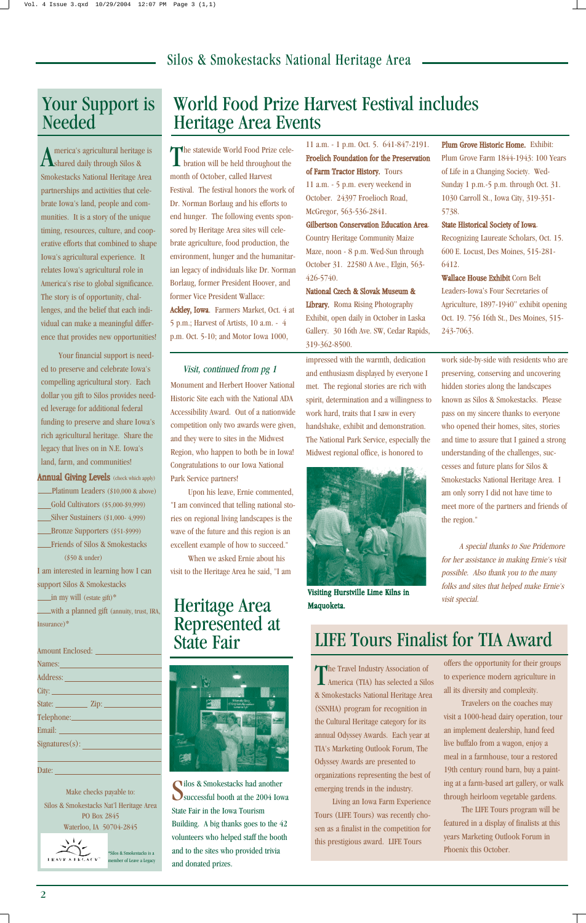Monument and Herbert Hoover National Historic Site each with the National ADA Accessibility Award. Out of a nationwide competition only two awards were given, and they were to sites in the Midwest Region, who happen to both be in Iowa! Congratulations to our Iowa National Park Service partners!

Upon his leave, Ernie commented, "I am convinced that telling national stories on regional living landscapes is the wave of the future and this region is an excellent example of how to succeed."

When we asked Ernie about his visit to the Heritage Area he said, "I am impressed with the warmth, dedication and enthusiasm displayed by everyone I met. The regional stories are rich with spirit, determination and a willingness to work hard, traits that I saw in every handshake, exhibit and demonstration. The National Park Service, especially the Midwest regional office, is honored to

The statewide World Food Prize celebration will be held throughout the month of October, called Harvest Festival. The festival honors the work of Dr. Norman Borlaug and his efforts to end hunger. The following events sponsored by Heritage Area sites will celebrate agriculture, food production, the environment, hunger and the humanitarian legacy of individuals like Dr. Norman Borlaug, former President Hoover, and former Vice President Wallace: Ackley, Iowa. Farmers Market, Oct. 4 at 5 p.m.; Harvest of Artists, 10 a.m. - 4 p.m. Oct. 5-10; and Motor Iowa 1000,

> work side-by-side with residents who are preserving, conserving and uncovering hidden stories along the landscapes known as Silos & Smokestacks. Please pass on my sincere thanks to everyone who opened their homes, sites, stories and time to assure that I gained a strong understanding of the challenges, successes and future plans for Silos & Smokestacks National Heritage Area. I am only sorry I did not have time to meet more of the partners and friends of the region."

A special thanks to Sue Pridemore for her assistance in making Ernie's visit possible. Also thank you to the many folks and sites that helped make Ernie's visit special.

11 a.m. - 1 p.m. Oct. 5. 641-847-2191. Froelich Foundation for the Preservation of Farm Tractor History. Tours

The Travel Industry Association of America (TIA) has selected a Silos & Smokestacks National Heritage Area (SSNHA) program for recognition in the Cultural Heritage category for its annual Odyssey Awards. Each year at TIA's Marketing Outlook Forum, The Odyssey Awards are presented to organizations representing the best of emerging trends in the industry.

11 a.m. - 5 p.m. every weekend in October. 24397 Froelioch Road, McGregor, 563-536-2841.

#### Gilbertson Conservation Education Area.

Country Heritage Community Maize Maze, noon - 8 p.m. Wed-Sun through October 31. 22580 A Ave., Elgin, 563- 426-5740.

#### National Czech & Slovak Museum &

Library. Roma Rising Photography Exhibit, open daily in October in Laska Gallery. 30 16th Ave. SW, Cedar Rapids, 319-362-8500.

Plum Grove Historic Home. Exhibit: Plum Grove Farm 1844-1943: 100 Years of Life in a Changing Society. Wed-Sunday 1 p.m.-5 p.m. through Oct. 31. 1030 Carroll St., Iowa City, 319-351- 5738.

#### State Historical Society of Iowa.

Recognizing Laureate Scholars, Oct. 15. 600 E. Locust, Des Moines, 515-281- 6412.

\*Silos & Smokestacks is a mber of Leave a Legacy

Wallace House Exhibit Corn Belt Leaders-Iowa's Four Secretaries of Agriculture, 1897-1940" exhibit opening Oct. 19. 756 16th St., Des Moines, 515- 243-7063.

Silos & Smokestacks had another<br>Successful booth at the 2004 Iowa **Iilos & Smokestacks had another** State Fair in the Iowa Tourism Building. A big thanks goes to the 42 volunteers who helped staff the booth and to the sites who provided trivia and donated prizes.

#### Silos & Smokestacks National Heritage Area

America's agricultural heritage is shared daily through Silos & Smokestacks National Heritage Area partnerships and activities that celebrate Iowa's land, people and communities. It is a story of the unique timing, resources, culture, and cooperative efforts that combined to shape Iowa's agricultural experience. It relates Iowa's agricultural role in America's rise to global significance. The story is of opportunity, challenges, and the belief that each individual can make a meaningful difference that provides new opportunities!

Your financial support is needed to preserve and celebrate Iowa's compelling agricultural story. Each dollar you gift to Silos provides needed leverage for additional federal funding to preserve and share Iowa's rich agricultural heritage. Share the legacy that lives on in N.E. Iowa's land, farm, and communities!

**Annual Giving Levels** (check which apply) Platinum Leaders (\$10,000 & above) Gold Cultivators (\$5,000-\$9,999) Silver Sustainers (\$1,000- 4,999) Bronze Supporters (\$51-\$999) Friends of Silos & Smokestacks (\$50 & under) I am interested in learning how I can support Silos & Smokestacks  $\text{in}$  my will (estate gift)\*

### Your Support is Needed

Living an Iowa Farm Experience Tours (LIFE Tours) was recently chosen as a finalist in the competition for this prestigious award. LIFE Tours

offers the opportunity for their groups to experience modern agriculture in all its diversity and complexity. Travelers on the coaches may visit a 1000-head dairy operation, tour an implement dealership, hand feed live buffalo from a wagon, enjoy a meal in a farmhouse, tour a restored 19th century round barn, buy a painting at a farm-based art gallery, or walk through heirloom vegetable gardens. The LIFE Tours program will be featured in a display of finalists at this years Marketing Outlook Forum in Phoenix this October.

### LIFE Tours Finalist for TIA Award

# World Food Prize Harvest Festival includes Heritage Area Events

Visit, continued from pg 1



Visiting Hurstville Lime Kilns in Maquoketa.

with a planned gift (annuity, trust, IRA, Insurance)\*

Amount Enclosed: Names:

| $\mathbf{r}$ .          |
|-------------------------|
| Address:                |
|                         |
| State:                  |
|                         |
| Email: <u>_________</u> |
| Signatures(s):          |
|                         |
| Date:                   |

Make checks payable to: Silos & Smokestacks Nat'l Heritage Area PO Box 2845 Waterloo, IA 50704-2845



#### Heritage Area Represented at State Fair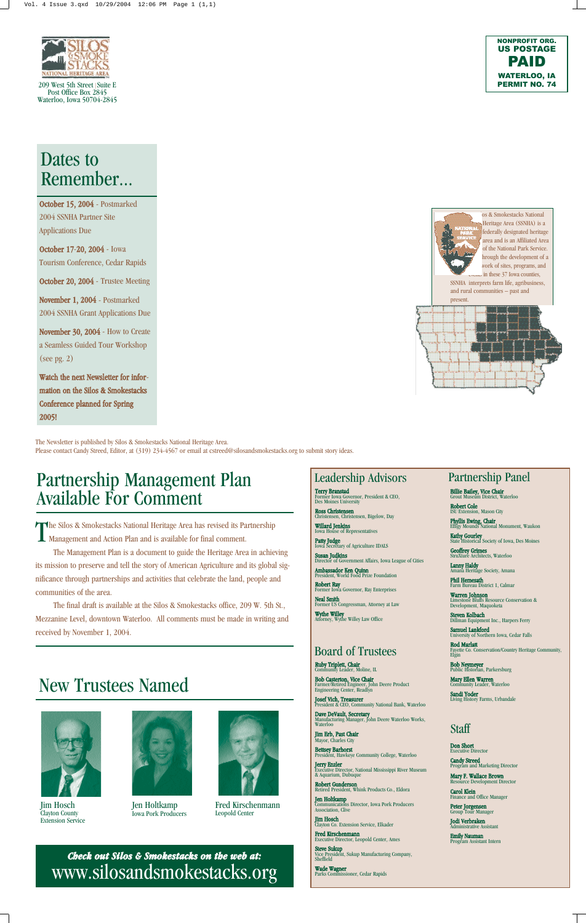209 West 5th Street |Suite E Post Office Box 2845 Waterloo, Iowa 50704-2845



The Newsletter is published by Silos & Smokestacks National Heritage Area. Please contact Candy Streed, Editor, at (319) 234-4567 or email at cstreed@silosandsmokestacks.org to submit story ideas.

*Check out Silos & Smokestacks on the web at:* www.silosandsmokestacks.org **Ruby Triplett, Chair**<br>Community Leader, Moline, IL

**Bob Casterton, Vice Chair**<br>Farmer/Retired Engineer, John Deere Product<br>Engineering Center, Readlyn

**Josef Vich, Treasurer**<br>President & CEO, Community National Bank, Waterloo

**Patty Judge**<br>Iowa Secretary of Agriculture IDALS Susan Judkins

Director of Government Affairs, Iowa League of Cities **Ambassador Ken Quinn**<br>President, World Food Prize Foundation



os & Smokestacks National

Dave DeVault, Secretary<br>Manufacturing Manager, John Deere Waterloo Works, Waterloo

Terry Branstad Former Iowa Governor, President & CEO, Des Moines University

**Ross Christensen**<br>Christensen, Christensen, Bigelow, Day

**Willard Jenkins**<br>Iowa House of Representatives

**Jerry Enzler**<br>Executive Director, National Mississippi River Museum & Aquarium, Dubuque

**Robert Gunderson**<br>Retired President, Whink Products Co., Eldora

**Jen Holtkamp**<br>Communications Director, Iowa Pork Producers<br>Association, Clive

**Jim Hosch**<br>Clayton Co. Extension Service, Elkader

Robert Ray Former Iowa Governor, Ray Enterprises

**Neal Smith**<br>Former US Congressman, Attorney at Law

Wythe Willey Attorney, Wythe Willey Law Office

Mary Ellen Warren imunity Leader, Waterloo

Jodi Verbraken inistrative Assistant

Jim Erb, Past Chair Mayor, Charles City

Bettsey Barhorst President, Hawkeye Community College, Waterloo

The Silos & Smokestacks National Heritage Area has revised its Paraman Management and Action Plan and is available for final comment. he Silos & Smokestacks National Heritage Area has revised its Partnership

> Fred Kirschenmann Executive Director, Leopold Center, Ames

**Steve Sukup**<br>Vice President, Sukup Manufacturing Company,<br>Sheffield

**Wade Wagner**<br>Parks Commissioner, Cedar Rapids

**Bob Neymeyer**<br>Public Historian, Parkersburg

Robert Cole ISU Extension, Mason City

**Phyllis Ewing, Chair**<br>Effigy Mounds National Monument, Waukon

**Kathy Gourley**<br>State Historical Society of Iowa, Des Moines

**Geoffrey Grimes**<br>StruXture Architects, Waterloo

**Lanny Haldy**<br>Amana Heritage Society, Amana

**Phil Hemesath**<br>Farm Bureau District 1, Calmar

**Warren Johnson**<br>Limestone Bluffs Resource Conservation &<br>Development, Maquoketa

Steven Kolbach Dillman Equipment Inc., Harpers Ferry

Samuel Lankford University of Northern Iowa, Cedar Falls

Rod Marlatt Fayette Co. Conservation/Country Heritage Community, Elgin

Sandi Yoder Living History Farms, Urbandale

Don Short Executive Director

Candy Streed Program and Marketing Director

Mary F. Wallace Brown Resource Development Director

Carol Klein<br>Finance and Office Manager

Peter Jorgensen<br>Group Tour Manager

Emily Nauman Program Assistant Intern

Leadership Advisors

Board of Trustees

# Partnership Panel

**Billie Bailey, Vice Chair**<br>Grout Museum District, Waterloo

Staff

# New Trustees Named



### Dates to Remember...

October 15, 2004 - Postmarked 2004 SSNHA Partner Site Applications Due

October 17-20, 2004 - Iowa Tourism Conference, Cedar Rapids

October 20, 2004 - Trustee Meeting

November 1, 2004 - Postmarked 2004 SSNHA Grant Applications Due

November 30, 2004 - How to Create a Seamless Guided Tour Workshop (see pg. 2)

Watch the next Newsletter for information on the Silos & Smokestacks Conference planned for Spring 2005!



Jim Hosch Clayton County Extension Service

Jen Holtkamp Iowa Pork Producers



Fred Kirschenmann Leopold Center

The Management Plan is a document to guide the Heritage Area in achieving its mission to preserve and tell the story of American Agriculture and its global significance through partnerships and activities that celebrate the land, people and communities of the area.

The final draft is available at the Silos & Smokestacks office, 209 W. 5th St., Mezzanine Level, downtown Waterloo. All comments must be made in writing and received by November 1, 2004.

### Partnership Management Plan Available For Comment